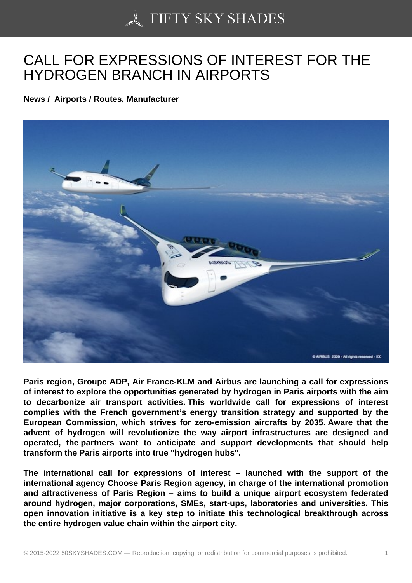## [CALL FOR EXPRESSI](https://50skyshades.com)ONS OF INTEREST FOR THE HYDROGEN BRANCH IN AIRPORTS

News / Airports / Routes, Manufacturer

Paris region, Groupe ADP, Air France-KLM and Airbus are launching a call for expressions of interest to explore the opportunities generated by hydrogen in Paris airports with the aim to decarbonize air transport activities. This worldwide call for expressions of interest complies with the French government's energy transition strategy and supported by the European Commission, which strives for zero-emission aircrafts by 2035. Aware that the advent of hydrogen will revolutionize the way airport infrastructures are designed and operated, the partners want to anticipate and support developments that should help transform the Paris airports into true "hydrogen hubs".

The international call for expressions of interest – launched with the support of the international agency Choose Paris Region agency, in charge of the international promotion and attractiveness of Paris Region – aims to build a unique airport ecosystem federated around hydrogen, major corporations, SMEs, start-ups, laboratories and universities. This open innovation initiative is a key step to initiate this technological breakthrough across the entire hydrogen value chain within the airport city.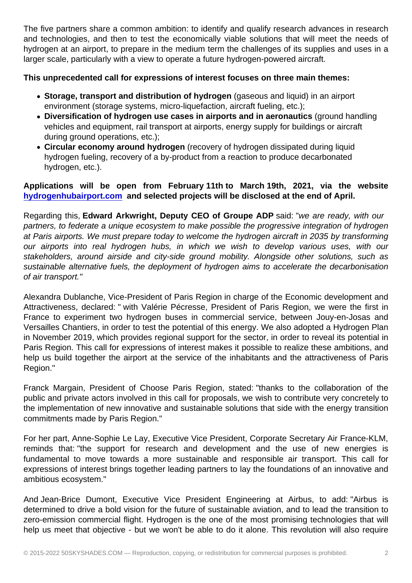and technologies, and then to test the economically viable solutions that will meet the needs of hydrogen at an airport, to prepare in the medium term the challenges of its supplies and uses in a larger scale, particularly with a view to operate a future hydrogen-powered aircraft.

This unprecedented call for expressions of interest focuses on three main themes:

- Storage, transport and distribution of hydrogen (gaseous and liquid) in an airport environment (storage systems, micro-liquefaction, aircraft fueling, etc.);
- Diversification of hydrogen use cases in airports and in aeronautics (ground handling vehicles and equipment, rail transport at airports, energy supply for buildings or aircraft during ground operations, etc.);
- Circular economy around hydrogen (recovery of hydrogen dissipated during liquid hydrogen fueling, recovery of a by-product from a reaction to produce decarbonated hydrogen, etc.).

Applications will be open from February 11th to March 19th, 2021, via the website hydrogenhubairport.com and selected projects will be disclosed at the end of April.

Regarding this, Edward Arkwright, Deputy CEO of Groupe ADP said: "we are ready, with our [partners, to federate a uniq](https://click.contact.airbus.com/?qs=ec03593cdada7d8dd1aee55c3d9ce443a63f1704f35d05156d51afe8628cfb91e5ed79bb746eb27125a884a6e89c731618d03292bb7344b72aaf086cb54f4357)ue ecosystem to make possible the progressive integration of hydrogen at Paris airports. We must prepare today to welcome the hydrogen aircraft in 2035 by transforming our airports into real hydrogen hubs, in which we wish to develop various uses, with our stakeholders, around airside and city-side ground mobility. Alongside other solutions, such as sustainable alternative fuels, the deployment of hydrogen aims to accelerate the decarbonisation of air transport."

Alexandra Dublanche, Vice-President of Paris Region in charge of the Economic development and Attractiveness, declared: " with Valérie Pécresse, President of Paris Region, we were the first in France to experiment two hydrogen buses in commercial service, between Jouy-en-Josas and Versailles Chantiers, in order to test the potential of this energy. We also adopted a Hydrogen Plan in November 2019, which provides regional support for the sector, in order to reveal its potential in Paris Region. This call for expressions of interest makes it possible to realize these ambitions, and help us build together the airport at the service of the inhabitants and the attractiveness of Paris Region."

Franck Margain, President of Choose Paris Region, stated: "thanks to the collaboration of the public and private actors involved in this call for proposals, we wish to contribute very concretely to the implementation of new innovative and sustainable solutions that side with the energy transition commitments made by Paris Region."

For her part, Anne-Sophie Le Lay, Executive Vice President, Corporate Secretary Air France-KLM, reminds that: "the support for research and development and the use of new energies is fundamental to move towards a more sustainable and responsible air transport. This call for expressions of interest brings together leading partners to lay the foundations of an innovative and ambitious ecosystem."

And Jean-Brice Dumont, Executive Vice President Engineering at Airbus, to add: "Airbus is determined to drive a bold vision for the future of sustainable aviation, and to lead the transition to zero-emission commercial flight. Hydrogen is the one of the most promising technologies that will help us meet that objective - but we won't be able to do it alone. This revolution will also require